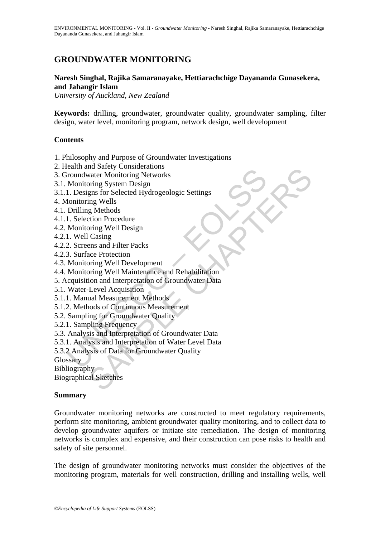# **GROUNDWATER MONITORING**

## **Naresh Singhal, Rajika Samaranayake, Hettiarachchige Dayananda Gunasekera, and Jahangir Islam**

*University of Auckland, New Zealand* 

**Keywords:** drilling, groundwater, groundwater quality, groundwater sampling, filter design, water level, monitoring program, network design, well development

### **Contents**

- 1. Philosophy and Purpose of Groundwater Investigations
- 2. Health and Safety Considerations
- 3. Groundwater Monitoring Networks
- 3.1. Monitoring System Design
- 3.1.1. Designs for Selected Hydrogeologic Settings
- 4. Monitoring Wells
- 4.1. Drilling Methods
- 4.1.1. Selection Procedure
- 4.2. Monitoring Well Design
- 4.2.1. Well Casing
- 4.2.2. Screens and Filter Packs
- 4.2.3. Surface Protection
- 4.3. Monitoring Well Development
- 4.4. Monitoring Well Maintenance and Rehabilitation
- Examination and Sucky Consisterations<br>
Troundwater Monitoring Networks<br>
Monitoring System Design<br>
1. Designs for Selected Hydrogeologic Settings<br>
Inclining Mellow<br>
Drilling Methods<br>
Drilling Mellow Conclude<br>
1. Selection P no sacre Considerations<br>
water Monitoring Networks<br>
ping System Design<br>
gns for Selected Hydrogeologic Settings<br>
gn Methods<br>
gn Methods<br>
gn Methods<br>
extion Procedure<br>
pring Well Design<br>
casing<br>
ens and Filter Packs<br>
ace Pr 5. Acquisition and Interpretation of Groundwater Data
- 5.1. Water-Level Acquisition
- 5.1.1. Manual Measurement Methods
- 5.1.2. Methods of Continuous Measurement
- 5.2. Sampling for Groundwater Quality
- 5.2.1. Sampling Frequency
- 5.3. Analysis and Interpretation of Groundwater Data
- 5.3.1. Analysis and Interpretation of Water Level Data
- 5.3.2 Analysis of Data for Groundwater Quality
- Glossary

Bibliography

Biographical Sketches

## **Summary**

Groundwater monitoring networks are constructed to meet regulatory requirements, perform site monitoring, ambient groundwater quality monitoring, and to collect data to develop groundwater aquifers or initiate site remediation. The design of monitoring networks is complex and expensive, and their construction can pose risks to health and safety of site personnel.

The design of groundwater monitoring networks must consider the objectives of the monitoring program, materials for well construction, drilling and installing wells, well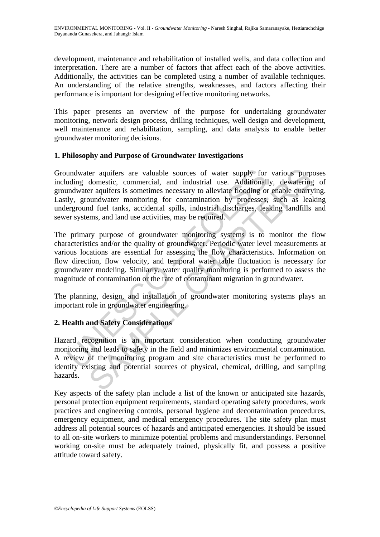development, maintenance and rehabilitation of installed wells, and data collection and interpretation. There are a number of factors that affect each of the above activities. Additionally, the activities can be completed using a number of available techniques. An understanding of the relative strengths, weaknesses, and factors affecting their performance is important for designing effective monitoring networks.

This paper presents an overview of the purpose for undertaking groundwater monitoring, network design process, drilling techniques, well design and development, well maintenance and rehabilitation, sampling, and data analysis to enable better groundwater monitoring decisions.

### **1. Philosophy and Purpose of Groundwater Investigations**

undwater aquifers are valuable sources of water supply for<br>uding domestic, commercial, and industrial use. Additional<br>indwater aquifers is sometimes necessary to alleviate flooding oi<br>ly, groundwater monitoring for contami ter aquifers are valuable sources of water supply for various purp<br>domestic, commercial, and industrial use. Additionally, dewatering<br>eraquifers is sometimes necessary to alleviate flooding or enfable quarry<br>coundwater mon Groundwater aquifers are valuable sources of water supply for various purposes including domestic, commercial, and industrial use. Additionally, dewatering of groundwater aquifers is sometimes necessary to alleviate flooding or enable quarrying. Lastly, groundwater monitoring for contamination by processes, such as leaking underground fuel tanks, accidental spills, industrial discharges, leaking landfills and sewer systems, and land use activities, may be required.

The primary purpose of groundwater monitoring systems is to monitor the flow characteristics and/or the quality of groundwater. Periodic water level measurements at various locations are essential for assessing the flow characteristics. Information on flow direction, flow velocity, and temporal water table fluctuation is necessary for groundwater modeling. Similarly, water quality monitoring is performed to assess the magnitude of contamination or the rate of contaminant migration in groundwater.

The planning, design, and installation of groundwater monitoring systems plays an important role in groundwater engineering.

## **2. Health and Safety Considerations**

Hazard recognition is an important consideration when conducting groundwater monitoring and leads to safety in the field and minimizes environmental contamination. A review of the monitoring program and site characteristics must be performed to identify existing and potential sources of physical, chemical, drilling, and sampling hazards.

Key aspects of the safety plan include a list of the known or anticipated site hazards, personal protection equipment requirements, standard operating safety procedures, work practices and engineering controls, personal hygiene and decontamination procedures, emergency equipment, and medical emergency procedures. The site safety plan must address all potential sources of hazards and anticipated emergencies. It should be issued to all on-site workers to minimize potential problems and misunderstandings. Personnel working on-site must be adequately trained, physically fit, and possess a positive attitude toward safety.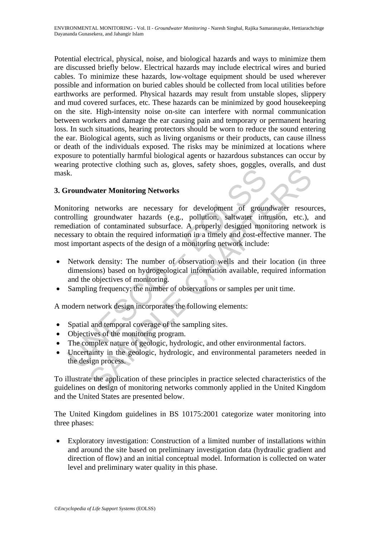Potential electrical, physical, noise, and biological hazards and ways to minimize them are discussed briefly below. Electrical hazards may include electrical wires and buried cables. To minimize these hazards, low-voltage equipment should be used wherever possible and information on buried cables should be collected from local utilities before earthworks are performed. Physical hazards may result from unstable slopes, slippery and mud covered surfaces, etc. These hazards can be minimized by good housekeeping on the site. High-intensity noise on-site can interfere with normal communication between workers and damage the ear causing pain and temporary or permanent hearing loss. In such situations, hearing protectors should be worn to reduce the sound entering the ear. Biological agents, such as living organisms or their products, can cause illness or death of the individuals exposed. The risks may be minimized at locations where exposure to potentially harmful biological agents or hazardous substances can occur by wearing protective clothing such as, gloves, safety shoes, goggles, overalls, and dust mask.

## **3. Groundwater Monitoring Networks**

Example 18 and the reading Methodical parameter and the design process.<br>
Example 18 and the reading provide increment of the reading provide the reading provide that the required information in a timely and cost-effect imp metro thanks are necessary for development of groundwater resours<br>growthes are necessary for development of groundwater resours<br>groundwater hazards (e.g., pollution, saltwater intrusion, etc.),<br>no diotaminated substrace. A Monitoring networks are necessary for development of groundwater resources, controlling groundwater hazards (e.g., pollution, saltwater intrusion, etc.), and remediation of contaminated subsurface. A properly designed monitoring network is necessary to obtain the required information in a timely and cost-effective manner. The most important aspects of the design of a monitoring network include:

- Network density: The number of observation wells and their location (in three dimensions) based on hydrogeological information available, required information and the objectives of monitoring.
- Sampling frequency: the number of observations or samples per unit time.

A modern network design incorporates the following elements:

- Spatial and temporal coverage of the sampling sites.
- Objectives of the monitoring program.
- The complex nature of geologic, hydrologic, and other environmental factors.
- Uncertainty in the geologic, hydrologic, and environmental parameters needed in the design process.

To illustrate the application of these principles in practice selected characteristics of the guidelines on design of monitoring networks commonly applied in the United Kingdom and the United States are presented below.

The United Kingdom guidelines in BS 10175:2001 categorize water monitoring into three phases:

• Exploratory investigation: Construction of a limited number of installations within and around the site based on preliminary investigation data (hydraulic gradient and direction of flow) and an initial conceptual model. Information is collected on water level and preliminary water quality in this phase.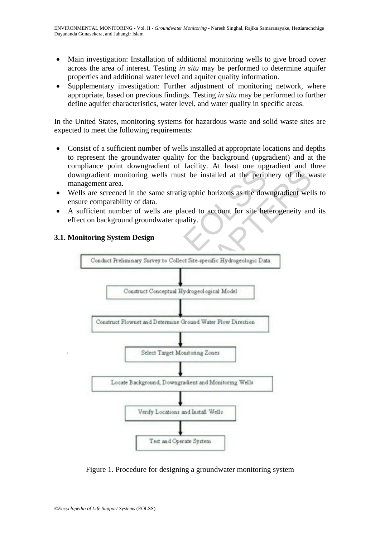- Main investigation: Installation of additional monitoring wells to give broad cover across the area of interest. Testing *in situ* may be performed to determine aquifer properties and additional water level and aquifer quality information.
- Supplementary investigation: Further adjustment of monitoring network, where appropriate, based on previous findings. Testing *in situ* may be performed to further define aquifer characteristics, water level, and water quality in specific areas.

In the United States, monitoring systems for hazardous waste and solid waste sites are expected to meet the following requirements:

- Consist of a sufficient number of wells installed at appropriate locations and depths to represent the groundwater quality for the background (upgradient) and at the compliance point downgradient of facility. At least one upgradient and three downgradient monitoring wells must be installed at the periphery of the waste management area.
- Wells are screened in the same stratigraphic horizons as the downgradient wells to ensure comparability of data.
- A sufficient number of wells are placed to account for site heterogeneity and its effect on background groundwater quality.



## **3.1. Monitoring System Design**

Figure 1. Procedure for designing a groundwater monitoring system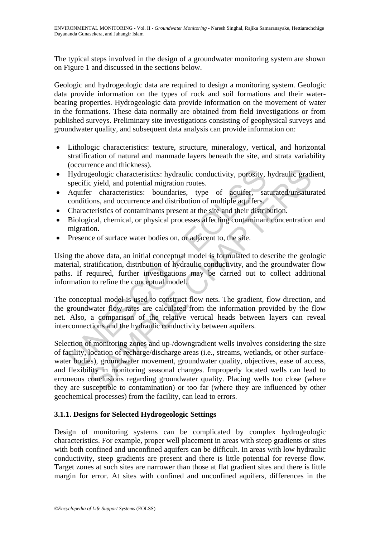The typical steps involved in the design of a groundwater monitoring system are shown on Figure 1 and discussed in the sections below.

Geologic and hydrogeologic data are required to design a monitoring system. Geologic data provide information on the types of rock and soil formations and their waterbearing properties. Hydrogeologic data provide information on the movement of water in the formations. These data normally are obtained from field investigations or from published surveys. Preliminary site investigations consisting of geophysical surveys and groundwater quality, and subsequent data analysis can provide information on:

- Lithologic characteristics: texture, structure, mineralogy, vertical, and horizontal stratification of natural and manmade layers beneath the site, and strata variability (occurrence and thickness).
- Hydrogeologic characteristics: hydraulic conductivity, porosity, hydraulic gradient, specific yield, and potential migration routes.
- Aquifer characteristics: boundaries, type of aquifer, saturated/unsaturated conditions, and occurrence and distribution of multiple aquifers.
- Characteristics of contaminants present at the site and their distribution.
- Biological, chemical, or physical processes affecting contaminant concentration and migration.
- Presence of surface water bodies on, or adjacent to, the site.

Hydrogeologic characteristics: hydraulic conductivity, porosity, specific yield, and potential migration routes.<br>Aquifer characteristics: boundaries, type of aquifer, sa conditions, and occurrence and distribution of multi Using the above data, an initial conceptual model is formulated to describe the geologic material, stratification, distribution of hydraulic conductivity, and the groundwater flow paths. If required, further investigations may be carried out to collect additional information to refine the conceptual model.

The conceptual model is used to construct flow nets. The gradient, flow direction, and the groundwater flow rates are calculated from the information provided by the flow net. Also, a comparison of the relative vertical heads between layers can reveal interconnections and the hydraulic conductivity between aquifers.

Exercise and methods.<br>
egologic characteristics: hydraulic conductivity, porosity, hydraulic grad<br>
cyield, and potential migration routes.<br>
The characteristics: boundaries, type of aquifer, saturated/unsatur<br>
oris, and occ Selection of monitoring zones and up-/downgradient wells involves considering the size of facility, location of recharge/discharge areas (i.e., streams, wetlands, or other surfacewater bodies), groundwater movement, groundwater quality, objectives, ease of access, and flexibility in monitoring seasonal changes. Improperly located wells can lead to erroneous conclusions regarding groundwater quality. Placing wells too close (where they are susceptible to contamination) or too far (where they are influenced by other geochemical processes) from the facility, can lead to errors.

## **3.1.1. Designs for Selected Hydrogeologic Settings**

Design of monitoring systems can be complicated by complex hydrogeologic characteristics. For example, proper well placement in areas with steep gradients or sites with both confined and unconfined aquifers can be difficult. In areas with low hydraulic conductivity, steep gradients are present and there is little potential for reverse flow. Target zones at such sites are narrower than those at flat gradient sites and there is little margin for error. At sites with confined and unconfined aquifers, differences in the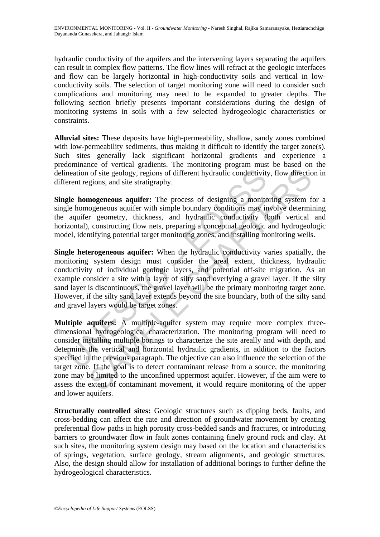hydraulic conductivity of the aquifers and the intervening layers separating the aquifers can result in complex flow patterns. The flow lines will refract at the geologic interfaces and flow can be largely horizontal in high-conductivity soils and vertical in lowconductivity soils. The selection of target monitoring zone will need to consider such complications and monitoring may need to be expanded to greater depths. The following section briefly presents important considerations during the design of monitoring systems in soils with a few selected hydrogeologic characteristics or constraints.

**Alluvial sites:** These deposits have high-permeability, shallow, sandy zones combined with low-permeability sediments, thus making it difficult to identify the target zone(s). Such sites generally lack significant horizontal gradients and experience a predominance of vertical gradients. The monitoring program must be based on the delineation of site geology, regions of different hydraulic conductivity, flow direction in different regions, and site stratigraphy.

**Single homogeneous aquifer:** The process of designing a monitoring system for a single homogeneous aquifer with simple boundary conditions may involve determining the aquifer geometry, thickness, and hydraulic conductivity (both vertical and horizontal), constructing flow nets, preparing a conceptual geologic and hydrogeologic model, identifying potential target monitoring zones, and installing monitoring wells.

neation of site geology, regions of different hydraulic conductivity<br>rent regions, and site stratigraphy.<br> **gle homogeneous aquifer:** The process of designing a monite<br> **le homogeneous aquifer:** The process of designing a **Single heterogeneous aquifer:** When the hydraulic conductivity varies spatially, the monitoring system design must consider the areal extent, thickness, hydraulic conductivity of individual geologic layers, and potential off-site migration. As an example consider a site with a layer of silty sand overlying a gravel layer. If the silty sand layer is discontinuous, the gravel layer will be the primary monitoring target zone. However, if the silty sand layer extends beyond the site boundary, both of the silty sand and gravel layers would be target zones.

of site geology, regions of different hydraulic conductivity, flow directic<br>gions, and site stratigraphy.<br>**mogeneous aquifer:** The process of designing a monitoring system figgeneous aquifer with simple boundary conditions **Multiple aquifers:** A multiple-aquifer system may require more complex threedimensional hydrogeological characterization. The monitoring program will need to consider installing multiple borings to characterize the site areally and with depth, and determine the vertical and horizontal hydraulic gradients, in addition to the factors specified in the previous paragraph. The objective can also influence the selection of the target zone. If the goal is to detect contaminant release from a source, the monitoring zone may be limited to the unconfined uppermost aquifer. However, if the aim were to assess the extent of contaminant movement, it would require monitoring of the upper and lower aquifers.

**Structurally controlled sites:** Geologic structures such as dipping beds, faults, and cross-bedding can affect the rate and direction of groundwater movement by creating preferential flow paths in high porosity cross-bedded sands and fractures, or introducing barriers to groundwater flow in fault zones containing finely ground rock and clay. At such sites, the monitoring system design may based on the location and characteristics of springs, vegetation, surface geology, stream alignments, and geologic structures. Also, the design should allow for installation of additional borings to further define the hydrogeological characteristics.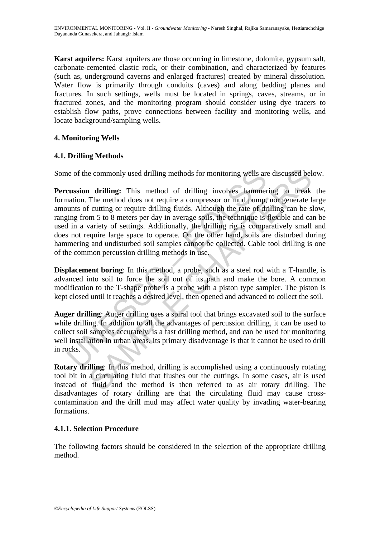**Karst aquifers:** Karst aquifers are those occurring in limestone, dolomite, gypsum salt, carbonate-cemented clastic rock, or their combination, and characterized by features (such as, underground caverns and enlarged fractures) created by mineral dissolution. Water flow is primarily through conduits (caves) and along bedding planes and fractures. In such settings, wells must be located in springs, caves, streams, or in fractured zones, and the monitoring program should consider using dye tracers to establish flow paths, prove connections between facility and monitoring wells, and locate background/sampling wells.

## **4. Monitoring Wells**

## **4.1. Drilling Methods**

Some of the commonly used drilling methods for monitoring wells are discussed below.

the of the commonly used drilling methods for monitoring wells are<br> **cussion drilling:** This method of drilling involves hammer<br>
attion. The method does not require a compressor or mud pump,<br>
sums of cutting or require dri e commonly used drilling methods for monitoring wells are discussed bel<br>
1 drilling: This method of drilling involves hammering to break<br>
The method does not require a compressor or mud pump, nor generate I<br>
f cutting or r **Percussion drilling:** This method of drilling involves hammering to break the formation. The method does not require a compressor or mud pump, nor generate large amounts of cutting or require drilling fluids. Although the rate of drilling can be slow, ranging from 5 to 8 meters per day in average soils, the technique is flexible and can be used in a variety of settings. Additionally, the drilling rig is comparatively small and does not require large space to operate. On the other hand, soils are disturbed during hammering and undisturbed soil samples cannot be collected. Cable tool drilling is one of the common percussion drilling methods in use.

**Displacement boring**: In this method, a probe, such as a steel rod with a T-handle, is advanced into soil to force the soil out of its path and make the bore. A common modification to the T-shape probe is a probe with a piston type sampler. The piston is kept closed until it reaches a desired level, then opened and advanced to collect the soil.

**Auger drilling**: Auger drilling uses a spiral tool that brings excavated soil to the surface while drilling. In addition to all the advantages of percussion drilling, it can be used to collect soil samples accurately, is a fast drilling method, and can be used for monitoring well installation in urban areas. Its primary disadvantage is that it cannot be used to drill in rocks.

**Rotary drilling**: In this method, drilling is accomplished using a continuously rotating tool bit in a circulating fluid that flushes out the cuttings. In some cases, air is used instead of fluid and the method is then referred to as air rotary drilling. The disadvantages of rotary drilling are that the circulating fluid may cause crosscontamination and the drill mud may affect water quality by invading water-bearing formations.

## **4.1.1. Selection Procedure**

The following factors should be considered in the selection of the appropriate drilling method.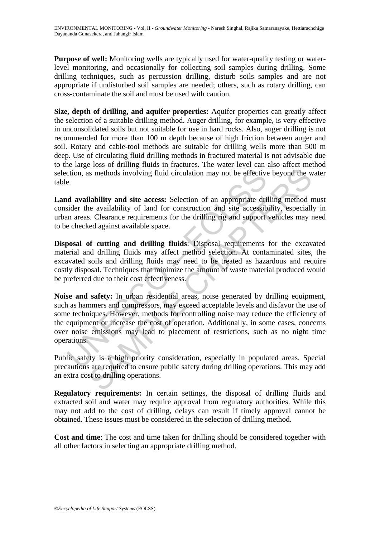**Purpose of well:** Monitoring wells are typically used for water-quality testing or waterlevel monitoring, and occasionally for collecting soil samples during drilling. Some drilling techniques, such as percussion drilling, disturb soils samples and are not appropriate if undisturbed soil samples are needed; others, such as rotary drilling, can cross-contaminate the soil and must be used with caution.

**Size, depth of drilling, and aquifer properties:** Aquifer properties can greatly affect the selection of a suitable drilling method. Auger drilling, for example, is very effective in unconsolidated soils but not suitable for use in hard rocks. Also, auger drilling is not recommended for more than 100 m depth because of high friction between auger and soil. Rotary and cable-tool methods are suitable for drilling wells more than 500 m deep. Use of circulating fluid drilling methods in fractured material is not advisable due to the large loss of drilling fluids in fractures. The water level can also affect method selection, as methods involving fluid circulation may not be effective beyond the water table.

**Land availability and site access:** Selection of an appropriate drilling method must consider the availability of land for construction and site accessibility, especially in urban areas. Clearance requirements for the drilling rig and support vehicles may need to be checked against available space.

**Disposal of cutting and drilling fluids**: Disposal requirements for the excavated material and drilling fluids may affect method selection. At contaminated sites, the excavated soils and drilling fluids may need to be treated as hazardous and require costly disposal. Techniques that minimize the amount of waste material produced would be preferred due to their cost effectiveness.

comparison as methods involving fluid circulation may not be effective<br>e.<br>
E.<br>
d availability and site access: Selection of an appropriate dri<br>
sider the availability of land for construction and site accessib<br>
in areas. C is methods involving fluid circulation may not be effective beyond the w<br> **lability and site access:** Selection of an appropriate drilling method in<br>
alability and site access: Selection of an appropriate drilling method i **Noise and safety:** In urban residential areas, noise generated by drilling equipment, such as hammers and compressors, may exceed acceptable levels and disfavor the use of some techniques. However, methods for controlling noise may reduce the efficiency of the equipment or increase the cost of operation. Additionally, in some cases, concerns over noise emissions may lead to placement of restrictions, such as no night time operations.

Public safety is a high priority consideration, especially in populated areas. Special precautions are required to ensure public safety during drilling operations. This may add an extra cost to drilling operations.

**Regulatory requirements:** In certain settings, the disposal of drilling fluids and extracted soil and water may require approval from regulatory authorities. While this may not add to the cost of drilling, delays can result if timely approval cannot be obtained. These issues must be considered in the selection of drilling method.

**Cost and time**: The cost and time taken for drilling should be considered together with all other factors in selecting an appropriate drilling method.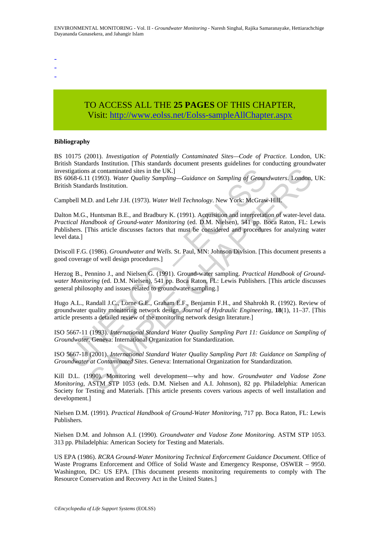ENVIRONMENTAL MONITORING - Vol. II - *Groundwater Monitoring* - Naresh Singhal, Rajika Samaranayake, Hettiarachchige Dayananda Gunasekera, and Jahangir Islam

-

-

-

# TO ACCESS ALL THE **25 PAGES** OF THIS CHAPTER, Visit: [http://www.eolss.net/Eolss-sampleAllChapter.aspx](https://www.eolss.net/ebooklib/sc_cart.aspx?File=E6-38A-05-03)

#### **Bibliography**

BS 10175 (2001). *Investigation of Potentially Contaminated Sites—Code of Practice.* London, UK: British Standards Institution. [This standards document presents guidelines for conducting groundwater investigations at contaminated sites in the UK.]

BS 6068-6.11 (1993). *Water Quality Sampling—Guidance on Sampling of Groundwaters*. London, UK: British Standards Institution.

Campbell M.D. and Lehr J.H. (1973). *Water Well Technology*. New York: McGraw-Hill.

stigations at contaminated sites in the UK.]<br>
0068-6.11 (1993). Water Quality Sampling—Guidance on Sampling of Ground<br>
6068-6.11 (1993). Water Quality Sampling—Guidance on Sampling of Ground<br>
6068-6.11 (1993). Water Qualit s at contaminated sites in the UK.]<br>
(1993). *Water Quality Sampling—Guidance on Sampling of Groundwaters.* London,<br>
1.1973). *Water Well Technology*. New York: McGraw-Hill.<br>
Huntsman B.E., and Lehr J.H. (1973). *Water Wel* Dalton M.G., Huntsman B.E., and Bradbury K. (1991). Acquisition and interpretation of water-level data. *Practical Handbook of Ground-water Monitoring* (ed. D.M. Nielsen), 541 pp. Boca Raton, FL: Lewis Publishers. [This article discusses factors that must be considered and procedures for analyzing water level data.]

Driscoll F.G. (1986). *Groundwater and Wells*. St. Paul, MN: Johnson Division. [This document presents a good coverage of well design procedures.]

Herzog B., Pennino J., and Nielsen G. (1991). Ground-water sampling. *Practical Handbook of Groundwater Monitoring* (ed. D.M. Nielsen), 541 pp. Boca Raton, FL: Lewis Publishers. [This article discusses general philosophy and issues related to groundwater sampling.]

Hugo A.L., Randall J.C., Lorne G.E., Graham E.F., Benjamin F.H., and Shahrokh R. (1992). Review of groundwater quality monitoring network design. *Journal of Hydraulic Engineering*, **18**(1), 11–37. [This article presents a detailed review of the monitoring network design literature.]

ISO 5667-11 (1993). *International Standard Water Quality Sampling Part 11: Guidance on Sampling of Groundwater*. Geneva: International Organization for Standardization.

ISO 5667-18 (2001). *International Standard Water Quality Sampling Part 18: Guidance on Sampling of Groundwater at Contaminated Sites*. Geneva: International Organization for Standardization.

Kill D.L. (1990). Monitoring well development—why and how. *Groundwater and Vadose Zone Monitoring*, ASTM STP 1053 (eds. D.M. Nielsen and A.I. Johnson), 82 pp. Philadelphia: American Society for Testing and Materials. [This article presents covers various aspects of well installation and development.]

Nielsen D.M. (1991). *Practical Handbook of Ground-Water Monitoring*, 717 pp. Boca Raton, FL: Lewis Publishers.

Nielsen D.M. and Johnson A.I. (1990). *Groundwater and Vadose Zone Monitoring*. ASTM STP 1053. 313 pp. Philadelphia: American Society for Testing and Materials.

US EPA (1986). *RCRA Ground-Water Monitoring Technical Enforcement Guidance Document*. Office of Waste Programs Enforcement and Office of Solid Waste and Emergency Response, OSWER – 9950. Washington, DC: US EPA. [This document presents monitoring requirements to comply with The Resource Conservation and Recovery Act in the United States.]